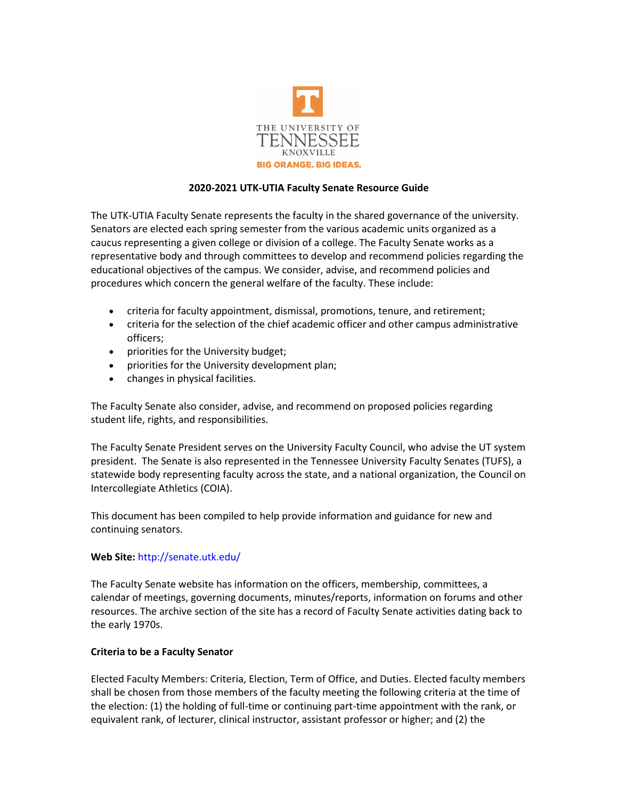

## **2020-2021 UTK-UTIA Faculty Senate Resource Guide**

The UTK-UTIA Faculty Senate represents the faculty in the shared governance of the university. Senators are elected each spring semester from the various academic units organized as a caucus representing a given college or division of a college. The Faculty Senate works as a representative body and through committees to develop and recommend policies regarding the educational objectives of the campus. We consider, advise, and recommend policies and procedures which concern the general welfare of the faculty. These include:

- criteria for faculty appointment, dismissal, promotions, tenure, and retirement;
- criteria for the selection of the chief academic officer and other campus administrative officers;
- priorities for the University budget;
- priorities for the University development plan;
- changes in physical facilities.

The Faculty Senate also consider, advise, and recommend on proposed policies regarding student life, rights, and responsibilities.

The Faculty Senate President serves on the University Faculty Council, who advise the UT system president. The Senate is also represented in the Tennessee University Faculty Senates (TUFS), a statewide body representing faculty across the state, and a national organization, the Council on Intercollegiate Athletics (COIA).

This document has been compiled to help provide information and guidance for new and continuing senators.

## **Web Site:** <http://senate.utk.edu/>

The Faculty Senate website has information on the officers, membership, committees, a calendar of meetings, governing documents, minutes/reports, information on forums and other resources. The archive section of the site has a record of Faculty Senate activities dating back to the early 1970s.

## **Criteria to be a Faculty Senator**

Elected Faculty Members: Criteria, Election, Term of Office, and Duties. Elected faculty members shall be chosen from those members of the faculty meeting the following criteria at the time of the election: (1) the holding of full-time or continuing part-time appointment with the rank, or equivalent rank, of lecturer, clinical instructor, assistant professor or higher; and (2) the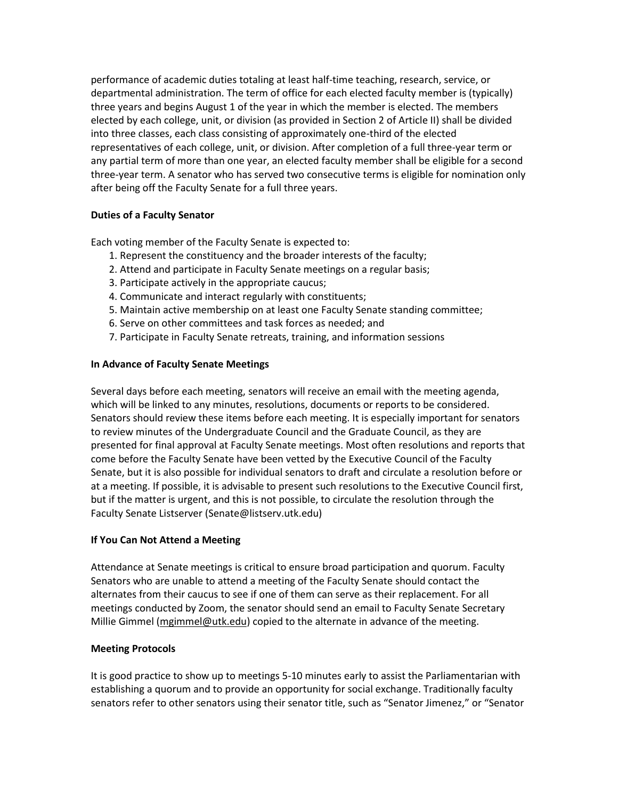performance of academic duties totaling at least half-time teaching, research, service, or departmental administration. The term of office for each elected faculty member is (typically) three years and begins August 1 of the year in which the member is elected. The members elected by each college, unit, or division (as provided in Section 2 of Article II) shall be divided into three classes, each class consisting of approximately one-third of the elected representatives of each college, unit, or division. After completion of a full three-year term or any partial term of more than one year, an elected faculty member shall be eligible for a second three-year term. A senator who has served two consecutive terms is eligible for nomination only after being off the Faculty Senate for a full three years.

# **Duties of a Faculty Senator**

Each voting member of the Faculty Senate is expected to:

- 1. Represent the constituency and the broader interests of the faculty;
- 2. Attend and participate in Faculty Senate meetings on a regular basis;
- 3. Participate actively in the appropriate caucus;
- 4. Communicate and interact regularly with constituents;
- 5. Maintain active membership on at least one Faculty Senate standing committee;
- 6. Serve on other committees and task forces as needed; and
- 7. Participate in Faculty Senate retreats, training, and information sessions

# **In Advance of Faculty Senate Meetings**

Several days before each meeting, senators will receive an email with the meeting agenda, which will be linked to any minutes, resolutions, documents or reports to be considered. Senators should review these items before each meeting. It is especially important for senators to review minutes of the Undergraduate Council and the Graduate Council, as they are presented for final approval at Faculty Senate meetings. Most often resolutions and reports that come before the Faculty Senate have been vetted by the Executive Council of the Faculty Senate, but it is also possible for individual senators to draft and circulate a resolution before or at a meeting. If possible, it is advisable to present such resolutions to the Executive Council first, but if the matter is urgent, and this is not possible, to circulate the resolution through the Faculty Senate Listserver (Senate@listserv.utk.edu)

## **If You Can Not Attend a Meeting**

Attendance at Senate meetings is critical to ensure broad participation and quorum. Faculty Senators who are unable to attend a meeting of the Faculty Senate should contact the alternates from their caucus to see if one of them can serve as their replacement. For all meetings conducted by Zoom, the senator should send an email to Faculty Senate Secretary Millie Gimmel [\(mgimmel@utk.edu\)](mailto:mgimmel@utk.edu) copied to the alternate in advance of the meeting.

## **Meeting Protocols**

It is good practice to show up to meetings 5-10 minutes early to assist the Parliamentarian with establishing a quorum and to provide an opportunity for social exchange. Traditionally faculty senators refer to other senators using their senator title, such as "Senator Jimenez," or "Senator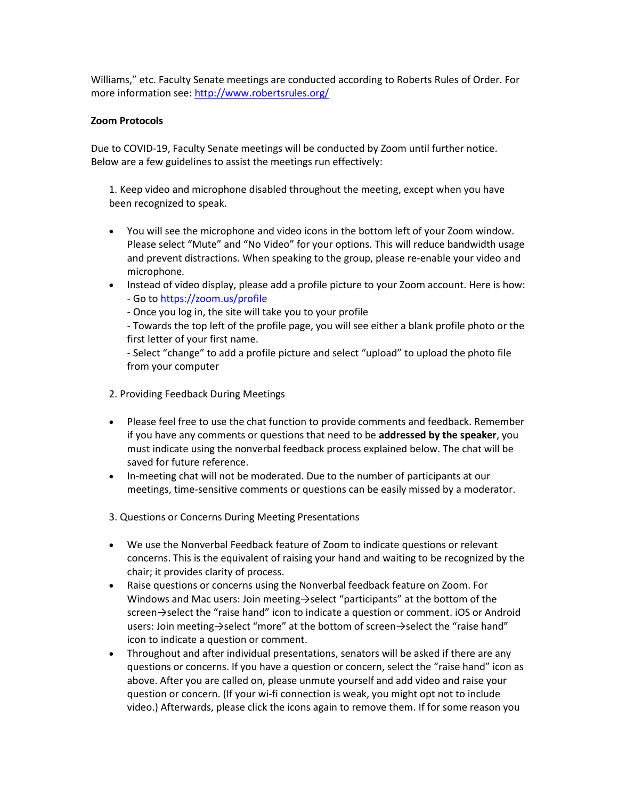Williams," etc. Faculty Senate meetings are conducted according to Roberts Rules of Order. For more information see[: http://www.robertsrules.org/](http://www.robertsrules.org/)

## **Zoom Protocols**

Due to COVID-19, Faculty Senate meetings will be conducted by Zoom until further notice. Below are a few guidelines to assist the meetings run effectively:

1. Keep video and microphone disabled throughout the meeting, except when you have been recognized to speak.

- You will see the microphone and video icons in the bottom left of your Zoom window. Please select "Mute" and "No Video" for your options. This will reduce bandwidth usage and prevent distractions. When speaking to the group, please re-enable your video and microphone*.*
- Instead of video display, please add a profile picture to your Zoom account. Here is how: - Go to https://zoom.us/profile
	- Once you log in, the site will take you to your profile

- Towards the top left of the profile page, you will see either a blank profile photo or the first letter of your first name.

- Select "change" to add a profile picture and select "upload" to upload the photo file from your computer

- 2. Providing Feedback During Meetings
- Please feel free to use the chat function to provide comments and feedback. Remember if you have any comments or questions that need to be **addressed by the speaker**, you must indicate using the nonverbal feedback process explained below. The chat will be saved for future reference.
- In-meeting chat will not be moderated. Due to the number of participants at our meetings, time-sensitive comments or questions can be easily missed by a moderator.

3. Questions or Concerns During Meeting Presentations

- We use the Nonverbal Feedback feature of Zoom to indicate questions or relevant concerns. This is the equivalent of raising your hand and waiting to be recognized by the chair; it provides clarity of process.
- Raise questions or concerns using the Nonverbal feedback feature on Zoom. For Windows and Mac users: Join meeting→select "participants" at the bottom of the screen→select the "raise hand" icon to indicate a question or comment. iOS or Android users: Join meeting→select "more" at the bottom of screen→select the "raise hand" icon to indicate a question or comment.
- Throughout and after individual presentations, senators will be asked if there are any questions or concerns. If you have a question or concern, select the "raise hand" icon as above. After you are called on, please unmute yourself and add video and raise your question or concern. (If your wi-fi connection is weak, you might opt not to include video.) Afterwards, please click the icons again to remove them. If for some reason you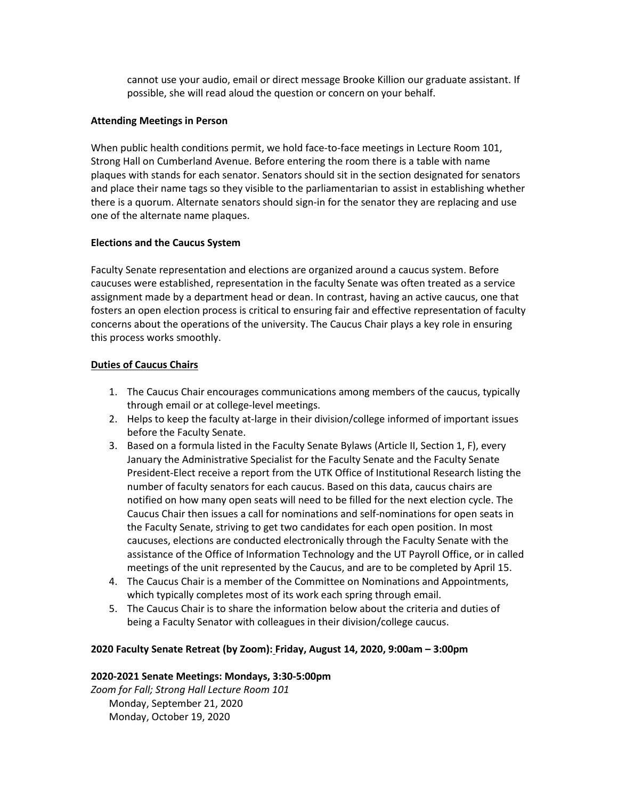cannot use your audio, email or direct message Brooke Killion our graduate assistant. If possible, she will read aloud the question or concern on your behalf.

#### **Attending Meetings in Person**

When public health conditions permit, we hold face-to-face meetings in Lecture Room 101, Strong Hall on Cumberland Avenue. Before entering the room there is a table with name plaques with stands for each senator. Senators should sit in the section designated for senators and place their name tags so they visible to the parliamentarian to assist in establishing whether there is a quorum. Alternate senators should sign-in for the senator they are replacing and use one of the alternate name plaques.

## **Elections and the Caucus System**

Faculty Senate representation and elections are organized around a caucus system. Before caucuses were established, representation in the faculty Senate was often treated as a service assignment made by a department head or dean. In contrast, having an active caucus, one that fosters an open election process is critical to ensuring fair and effective representation of faculty concerns about the operations of the university. The Caucus Chair plays a key role in ensuring this process works smoothly.

## **Duties of Caucus Chairs**

- 1. The Caucus Chair encourages communications among members of the caucus, typically through email or at college-level meetings.
- 2. Helps to keep the faculty at-large in their division/college informed of important issues before the Faculty Senate.
- 3. Based on a formula listed in the Faculty Senate Bylaws (Article II, Section 1, F), every January the Administrative Specialist for the Faculty Senate and the Faculty Senate President-Elect receive a report from the UTK Office of Institutional Research listing the number of faculty senators for each caucus. Based on this data, caucus chairs are notified on how many open seats will need to be filled for the next election cycle. The Caucus Chair then issues a call for nominations and self-nominations for open seats in the Faculty Senate, striving to get two candidates for each open position. In most caucuses, elections are conducted electronically through the Faculty Senate with the assistance of the Office of Information Technology and the UT Payroll Office, or in called meetings of the unit represented by the Caucus, and are to be completed by April 15.
- 4. The Caucus Chair is a member of the Committee on Nominations and Appointments, which typically completes most of its work each spring through email.
- 5. The Caucus Chair is to share the information below about the criteria and duties of being a Faculty Senator with colleagues in their division/college caucus.

## **2020 Faculty Senate Retreat (by Zoom): Friday, August 14, 2020, 9:00am – 3:00pm**

## **2020-2021 Senate Meetings: Mondays, 3:30-5:00pm**

*Zoom for Fall; Strong Hall Lecture Room 101* Monday, September 21, 2020 Monday, October 19, 2020